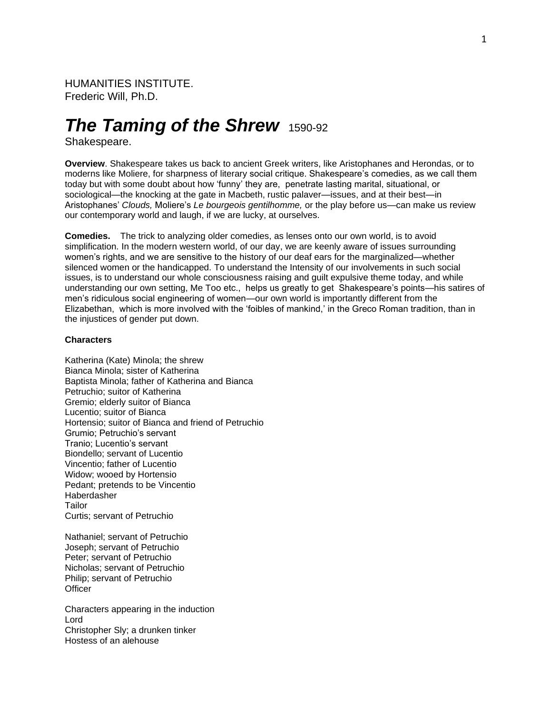HUMANITIES INSTITUTE. Frederic Will, Ph.D.

# *The Taming of the Shrew* 1590-92

Shakespeare.

**Overview**. Shakespeare takes us back to ancient Greek writers, like Aristophanes and Herondas, or to moderns like Moliere, for sharpness of literary social critique. Shakespeare's comedies, as we call them today but with some doubt about how 'funny' they are, penetrate lasting marital, situational, or sociological—the knocking at the gate in Macbeth, rustic palaver—issues, and at their best—in Aristophanes' *Clouds,* Moliere's *Le bourgeois gentilhomme,* or the play before us—can make us review our contemporary world and laugh, if we are lucky, at ourselves.

**Comedies.** The trick to analyzing older comedies, as lenses onto our own world, is to avoid simplification. In the modern western world, of our day, we are keenly aware of issues surrounding women's rights, and we are sensitive to the history of our deaf ears for the marginalized—whether silenced women or the handicapped. To understand the Intensity of our involvements in such social issues, is to understand our whole consciousness raising and guilt expulsive theme today, and while understanding our own setting, Me Too etc., helps us greatly to get Shakespeare's points—his satires of men's ridiculous social engineering of women—our own world is importantly different from the Elizabethan, which is more involved with the 'foibles of mankind,' in the Greco Roman tradition, than in the injustices of gender put down.

#### **Characters**

Katherina (Kate) Minola; the shrew Bianca Minola; sister of Katherina Baptista Minola; father of Katherina and Bianca Petruchio; suitor of Katherina Gremio; elderly suitor of Bianca Lucentio; suitor of Bianca Hortensio; suitor of Bianca and friend of Petruchio Grumio; Petruchio's servant Tranio; Lucentio's servant Biondello; servant of Lucentio Vincentio; father of Lucentio Widow; wooed by Hortensio Pedant; pretends to be Vincentio Haberdasher Tailor Curtis; servant of Petruchio

Nathaniel; servant of Petruchio Joseph; servant of Petruchio Peter; servant of Petruchio Nicholas; servant of Petruchio Philip; servant of Petruchio **Officer** 

Characters appearing in the induction Lord Christopher Sly; a drunken tinker Hostess of an alehouse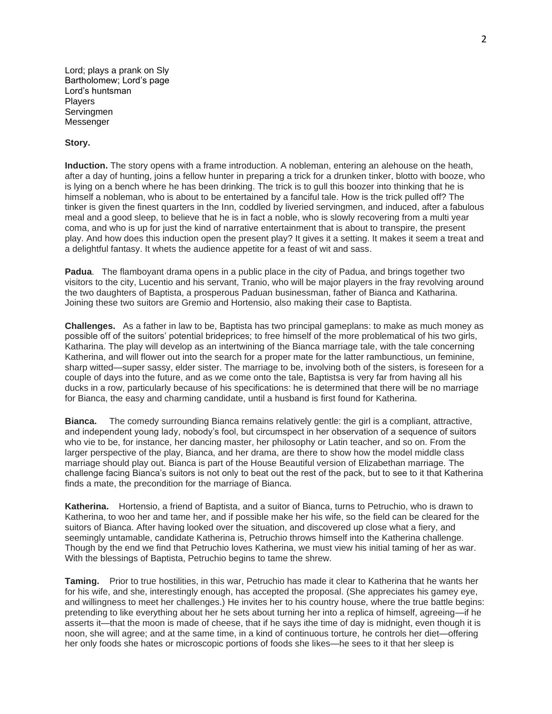Lord; plays a prank on Sly Bartholomew; Lord's page Lord's huntsman Players **Servinamen** Messenger

## **Story.**

**Induction.** The story opens with a frame introduction. A nobleman, entering an alehouse on the heath, after a day of hunting, joins a fellow hunter in preparing a trick for a drunken tinker, blotto with booze, who is lying on a bench where he has been drinking. The trick is to gull this boozer into thinking that he is himself a nobleman, who is about to be entertained by a fanciful tale. How is the trick pulled off? The tinker is given the finest quarters in the Inn, coddled by liveried servingmen, and induced, after a fabulous meal and a good sleep, to believe that he is in fact a noble, who is slowly recovering from a multi year coma, and who is up for just the kind of narrative entertainment that is about to transpire, the present play. And how does this induction open the present play? It gives it a setting. It makes it seem a treat and a delightful fantasy. It whets the audience appetite for a feast of wit and sass.

**Padua**. The flamboyant drama opens in a public place in the city of Padua, and brings together two visitors to the city, Lucentio and his servant, Tranio, who will be major players in the fray revolving around the two daughters of Baptista, a prosperous Paduan businessman, father of Bianca and Katharina. Joining these two suitors are Gremio and Hortensio, also making their case to Baptista.

**Challenges.** As a father in law to be, Baptista has two principal gameplans: to make as much money as possible off of the suitors' potential brideprices; to free himself of the more problematical of his two girls, Katharina. The play will develop as an intertwining of the Bianca marriage tale, with the tale concerning Katherina, and will flower out into the search for a proper mate for the latter rambunctious, un feminine, sharp witted—super sassy, elder sister. The marriage to be, involving both of the sisters, is foreseen for a couple of days into the future, and as we come onto the tale, Baptistsa is very far from having all his ducks in a row, particularly because of his specifications: he is determined that there will be no marriage for Bianca, the easy and charming candidate, until a husband is first found for Katherina.

**Bianca.** The comedy surrounding Bianca remains relatively gentle: the girl is a compliant, attractive, and independent young lady, nobody's fool, but circumspect in her observation of a sequence of suitors who vie to be, for instance, her dancing master, her philosophy or Latin teacher, and so on. From the larger perspective of the play, Bianca, and her drama, are there to show how the model middle class marriage should play out. Bianca is part of the House Beautiful version of Elizabethan marriage. The challenge facing Bianca's suitors is not only to beat out the rest of the pack, but to see to it that Katherina finds a mate, the precondition for the marriage of Bianca.

**Katherina.** Hortensio, a friend of Baptista, and a suitor of Bianca, turns to Petruchio, who is drawn to Katherina, to woo her and tame her, and if possible make her his wife, so the field can be cleared for the suitors of Bianca. After having looked over the situation, and discovered up close what a fiery, and seemingly untamable, candidate Katherina is, Petruchio throws himself into the Katherina challenge. Though by the end we find that Petruchio loves Katherina, we must view his initial taming of her as war. With the blessings of Baptista, Petruchio begins to tame the shrew.

**Taming.** Prior to true hostilities, in this war, Petruchio has made it clear to Katherina that he wants her for his wife, and she, interestingly enough, has accepted the proposal. (She appreciates his gamey eye, and willingness to meet her challenges.) He invites her to his country house, where the true battle begins: pretending to like everything about her he sets about turning her into a replica of himself, agreeing—if he asserts it—that the moon is made of cheese, that if he says ithe time of day is midnight, even though it is noon, she will agree; and at the same time, in a kind of continuous torture, he controls her diet—offering her only foods she hates or microscopic portions of foods she likes—he sees to it that her sleep is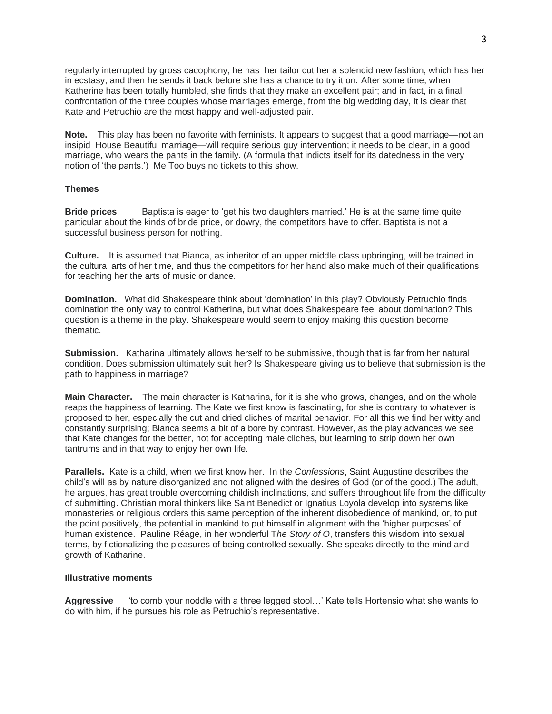regularly interrupted by gross cacophony; he has her tailor cut her a splendid new fashion, which has her in ecstasy, and then he sends it back before she has a chance to try it on. After some time, when Katherine has been totally humbled, she finds that they make an excellent pair; and in fact, in a final confrontation of the three couples whose marriages emerge, from the big wedding day, it is clear that Kate and Petruchio are the most happy and well-adjusted pair.

**Note.** This play has been no favorite with feminists. It appears to suggest that a good marriage—not an insipid House Beautiful marriage—will require serious guy intervention; it needs to be clear, in a good marriage, who wears the pants in the family. (A formula that indicts itself for its datedness in the very notion of 'the pants.') Me Too buys no tickets to this show.

### **Themes**

**Bride prices**. Baptista is eager to 'get his two daughters married.' He is at the same time quite particular about the kinds of bride price, or dowry, the competitors have to offer. Baptista is not a successful business person for nothing.

**Culture.** It is assumed that Bianca, as inheritor of an upper middle class upbringing, will be trained in the cultural arts of her time, and thus the competitors for her hand also make much of their qualifications for teaching her the arts of music or dance.

**Domination.** What did Shakespeare think about 'domination' in this play? Obviously Petruchio finds domination the only way to control Katherina, but what does Shakespeare feel about domination? This question is a theme in the play. Shakespeare would seem to enjoy making this question become thematic.

**Submission.** Katharina ultimately allows herself to be submissive, though that is far from her natural condition. Does submission ultimately suit her? Is Shakespeare giving us to believe that submission is the path to happiness in marriage?

**Main Character.** The main character is Katharina, for it is she who grows, changes, and on the whole reaps the happiness of learning. The Kate we first know is fascinating, for she is contrary to whatever is proposed to her, especially the cut and dried cliches of marital behavior. For all this we find her witty and constantly surprising; Bianca seems a bit of a bore by contrast. However, as the play advances we see that Kate changes for the better, not for accepting male cliches, but learning to strip down her own tantrums and in that way to enjoy her own life.

**Parallels.** Kate is a child, when we first know her. In the *Confessions*, Saint Augustine describes the child's will as by nature disorganized and not aligned with the desires of God (or of the good.) The adult, he argues, has great trouble overcoming childish inclinations, and suffers throughout life from the difficulty of submitting. Christian moral thinkers like Saint Benedict or Ignatius Loyola develop into systems like monasteries or religious orders this same perception of the inherent disobedience of mankind, or, to put the point positively, the potential in mankind to put himself in alignment with the 'higher purposes' of human existence. Pauline Réage, in her wonderful T*he Story of O*, transfers this wisdom into sexual terms, by fictionalizing the pleasures of being controlled sexually. She speaks directly to the mind and growth of Katharine.

#### **Illustrative moments**

**Aggressive** 'to comb your noddle with a three legged stool…' Kate tells Hortensio what she wants to do with him, if he pursues his role as Petruchio's representative.